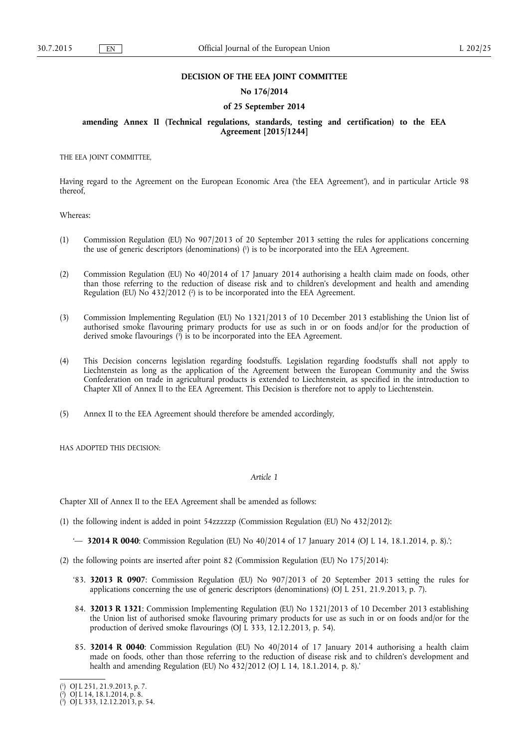## **DECISION OF THE EEA JOINT COMMITTEE**

## **No 176/2014**

### **of 25 September 2014**

## **amending Annex II (Technical regulations, standards, testing and certification) to the EEA Agreement [2015/1244]**

THE EEA JOINT COMMITTEE,

Having regard to the Agreement on the European Economic Area ('the EEA Agreement'), and in particular Article 98 thereof,

Whereas:

- (1) Commission Regulation (EU) No 907/2013 of 20 September 2013 setting the rules for applications concerning the use of generic descriptors (denominations) (<sup>1</sup>) is to be incorporated into the EEA Agreement.
- (2) Commission Regulation (EU) No 40/2014 of 17 January 2014 authorising a health claim made on foods, other than those referring to the reduction of disease risk and to children's development and health and amending Regulation (EU) No  $432/2012$  ( $^2$ ) is to be incorporated into the EEA Agreement.
- (3) Commission Implementing Regulation (EU) No 1321/2013 of 10 December 2013 establishing the Union list of authorised smoke flavouring primary products for use as such in or on foods and/or for the production of derived smoke flavourings (3) is to be incorporated into the EEA Agreement.
- (4) This Decision concerns legislation regarding foodstuffs. Legislation regarding foodstuffs shall not apply to Liechtenstein as long as the application of the Agreement between the European Community and the Swiss Confederation on trade in agricultural products is extended to Liechtenstein, as specified in the introduction to Chapter XII of Annex II to the EEA Agreement. This Decision is therefore not to apply to Liechtenstein.
- (5) Annex II to the EEA Agreement should therefore be amended accordingly,

HAS ADOPTED THIS DECISION:

### *Article 1*

Chapter XII of Annex II to the EEA Agreement shall be amended as follows:

(1) the following indent is added in point 54zzzzzp (Commission Regulation (EU) No 432/2012):

'— **32014 R 0040**: Commission Regulation (EU) No 40/2014 of 17 January 2014 (OJ L 14, 18.1.2014, p. 8).';

- (2) the following points are inserted after point 82 (Commission Regulation (EU) No 175/2014):
	- '83. **32013 R 0907**: Commission Regulation (EU) No 907/2013 of 20 September 2013 setting the rules for applications concerning the use of generic descriptors (denominations)  $(O)$  L 251, 21.9.2013, p. 7).
	- 84. **32013 R 1321**: Commission Implementing Regulation (EU) No 1321/2013 of 10 December 2013 establishing the Union list of authorised smoke flavouring primary products for use as such in or on foods and/or for the production of derived smoke flavourings (OJ L 333, 12.12.2013, p. 54).
	- 85. **32014 R 0040**: Commission Regulation (EU) No 40/2014 of 17 January 2014 authorising a health claim made on foods, other than those referring to the reduction of disease risk and to children's development and health and amending Regulation (EU) No 432/2012 (OJ L 14, 18.1.2014, p. 8).'

<sup>(</sup> 1 ) OJ L 251, 21.9.2013, p. 7.

<sup>(</sup> 2 ) OJ L 14, 18.1.2014, p. 8.

<sup>(</sup> 3 ) OJ L 333, 12.12.2013, p. 54.